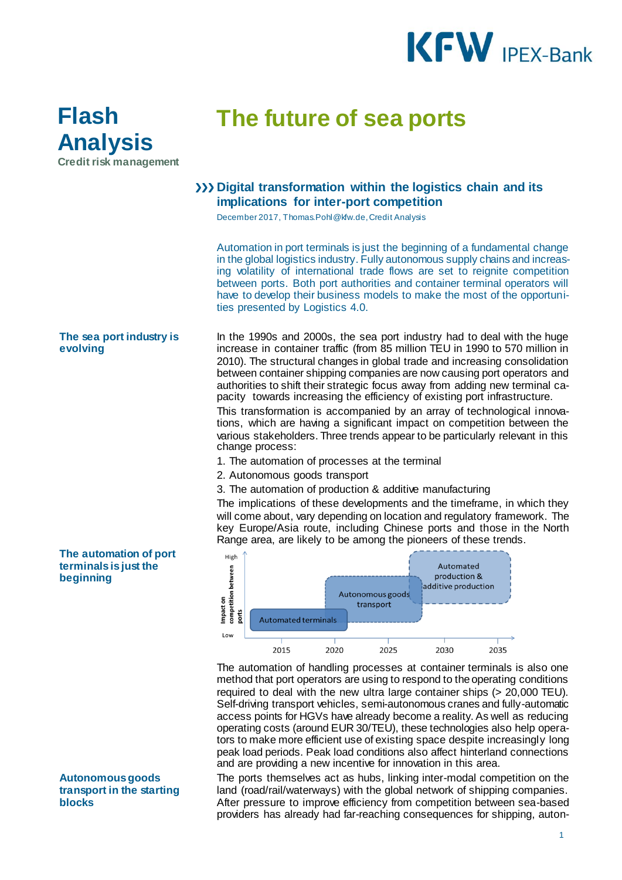

## **Flash Analysis Credit risk management**

# **The future of sea ports**

### **Digital transformation within the logistics chain and its implications for inter-port competition**

December 2017, Thomas.Pohl@kfw.de, Credit Analysis

Automation in port terminals is just the beginning of a fundamental change in the global logistics industry. Fully autonomous supply chains and increasing volatility of international trade flows are set to reignite competition between ports. Both port authorities and container terminal operators will have to develop their business models to make the most of the opportunities presented by Logistics 4.0.

#### **The sea port industry is evolving**

In the 1990s and 2000s, the sea port industry had to deal with the huge increase in container traffic (from 85 million TEU in 1990 to 570 million in 2010). The structural changes in global trade and increasing consolidation between container shipping companies are now causing port operators and authorities to shift their strategic focus away from adding new terminal capacity towards increasing the efficiency of existing port infrastructure.

This transformation is accompanied by an array of technological innovations, which are having a significant impact on competition between the various stakeholders. Three trends appear to be particularly relevant in this change process:

- 1. The automation of processes at the terminal
- 2. Autonomous goods transport
- 3. The automation of production & additive manufacturing

The implications of these developments and the timeframe, in which they will come about, vary depending on location and regulatory framework. The key Europe/Asia route, including Chinese ports and those in the North Range area, are likely to be among the pioneers of these trends.



The automation of handling processes at container terminals is also one method that port operators are using to respond to the operating conditions required to deal with the new ultra large container ships (> 20,000 TEU). Self-driving transport vehicles, semi-autonomous cranes and fully-automatic access points for HGVs have already become a reality. As well as reducing operating costs (around EUR 30/TEU), these technologies also help operators to make more efficient use of existing space despite increasingly long peak load periods. Peak load conditions also affect hinterland connections and are providing a new incentive for innovation in this area.

The ports themselves act as hubs, linking inter-modal competition on the land (road/rail/waterways) with the global network of shipping companies. After pressure to improve efficiency from competition between sea-based providers has already had far-reaching consequences for shipping, auton-

#### **The automation of port terminals is just the beginning**

#### **Autonomous goods transport in the starting blocks**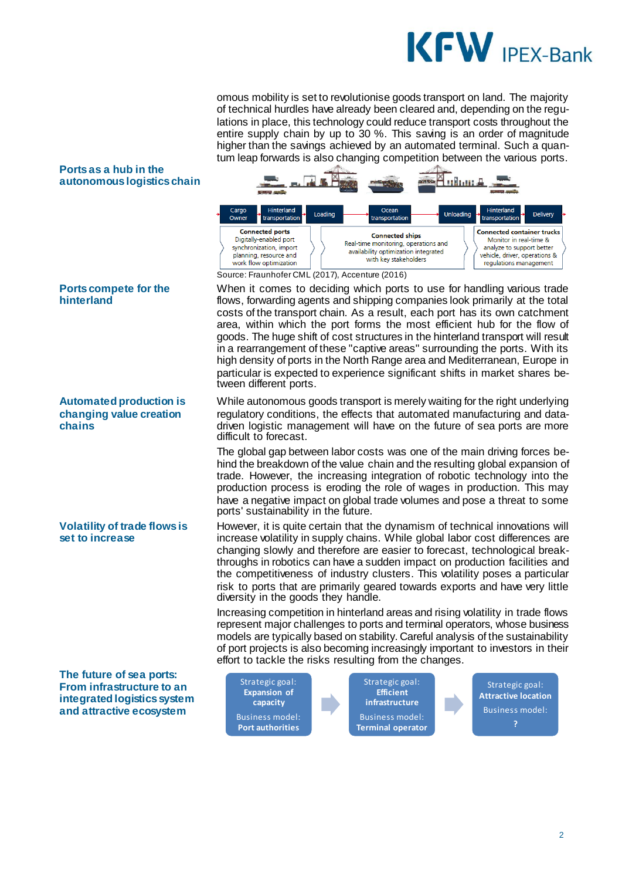

transportatio

**Connected container trucks** 

Monitor in real-time &

analyze to support better

vehicle, driver, operations &

regulations management

Delivery

omous mobility is set to revolutionise goods transport on land. The majority of technical hurdles have already been cleared and, depending on the regulations in place, this technology could reduce transport costs throughout the entire supply chain by up to 30 %. This saving is an order of magnitude higher than the savings achieved by an automated terminal. Such a quantum leap forwards is also changing competition between the various ports.

Ocear

transportation

**Connected ships** 

Real-time monitoring, operations and

availability optimization integrated

with key stakeholders

Unloading

#### **Ports as a hub in the autonomous logistics chain**



#### **Automated production is changing value creation chains**

**Volatility of trade flows is set to increase**

**The future of sea ports: From infrastructure to an integrated logistics system and attractive ecosystem**



Loading

Cargo<br>Owner

transportation

**Connected ports** 

Digitally-enabled port

synchronization, import

planning, resource and

When it comes to deciding which ports to use for handling various trade flows, forwarding agents and shipping companies look primarily at the total costs of the transport chain. As a result, each port has its own catchment area, within which the port forms the most efficient hub for the flow of goods. The huge shift of cost structures in the hinterland transport will result in a rearrangement of these "captive areas" surrounding the ports. With its high density of ports in the North Range area and Mediterranean, Europe in particular is expected to experience significant shifts in market shares between different ports.

While autonomous goods transport is merely waiting for the right underlying regulatory conditions, the effects that automated manufacturing and datadriven logistic management will have on the future of sea ports are more difficult to forecast.

The global gap between labor costs was one of the main driving forces behind the breakdown of the value chain and the resulting global expansion of trade. However, the increasing integration of robotic technology into the production process is eroding the role of wages in production. This may have a negative impact on global trade volumes and pose a threat to some ports' sustainability in the future.

However, it is quite certain that the dynamism of technical innovations will increase volatility in supply chains. While global labor cost differences are changing slowly and therefore are easier to forecast, technological breakthroughs in robotics can have a sudden impact on production facilities and the competitiveness of industry clusters. This volatility poses a particular risk to ports that are primarily geared towards exports and have very little diversity in the goods they handle.

Increasing competition in hinterland areas and rising volatility in trade flows represent major challenges to ports and terminal operators, whose business models are typically based on stability. Careful analysis of the sustainability of port projects is also becoming increasingly important to investors in their effort to tackle the risks resulting from the changes.